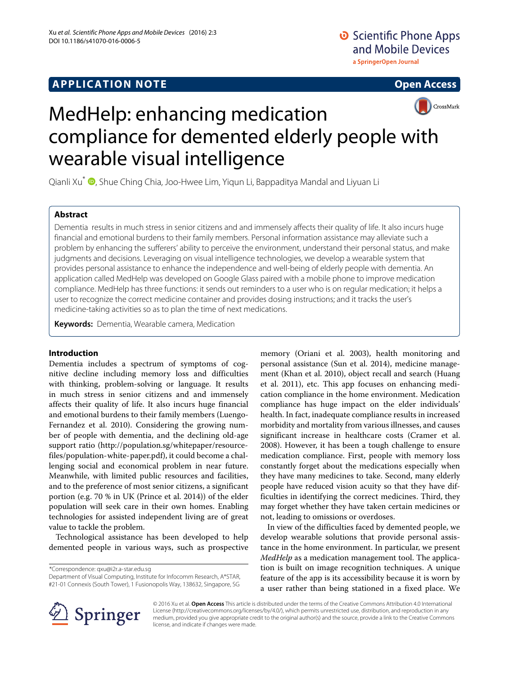# **APPLICATION NOTE CONSUMING A RESERVE AND ACCESS**



# MedHelp: enhancing medication compliance for demented elderly people with wearable visual intelligence

Qianli Xu<sup>\*</sup> <sup>(D</sup>[,](http://orcid.org/0000-0003-0105-5903) Shue Ching Chia, Joo-Hwee Lim, Yiqun Li, Bappaditya Mandal and Liyuan Li

# **Abstract**

Dementia results in much stress in senior citizens and and immensely affects their quality of life. It also incurs huge financial and emotional burdens to their family members. Personal information assistance may alleviate such a problem by enhancing the sufferers' ability to perceive the environment, understand their personal status, and make judgments and decisions. Leveraging on visual intelligence technologies, we develop a wearable system that provides personal assistance to enhance the independence and well-being of elderly people with dementia. An application called MedHelp was developed on Google Glass paired with a mobile phone to improve medication compliance. MedHelp has three functions: it sends out reminders to a user who is on regular medication; it helps a user to recognize the correct medicine container and provides dosing instructions; and it tracks the user's medicine-taking activities so as to plan the time of next medications.

**Keywords:** Dementia, Wearable camera, Medication

# **Introduction**

Dementia includes a spectrum of symptoms of cognitive decline including memory loss and difficulties with thinking, problem-solving or language. It results in much stress in senior citizens and and immensely affects their quality of life. It also incurs huge financial and emotional burdens to their family members (Luengo-Fernandez et al. [2010\)](#page-3-0). Considering the growing number of people with dementia, and the declining old-age support ratio [\(http://population.sg/whitepaper/resource](http://population.sg/whitepaper/resource-files/population-white-paper.pdf)[files/population-white-paper.pdf\)](http://population.sg/whitepaper/resource-files/population-white-paper.pdf), it could become a challenging social and economical problem in near future. Meanwhile, with limited public resources and facilities, and to the preference of most senior citizens, a significant portion (e.g. 70 % in UK (Prince et al. [2014\)](#page-3-1)) of the elder population will seek care in their own homes. Enabling technologies for assisted independent living are of great value to tackle the problem.

Technological assistance has been developed to help demented people in various ways, such as prospective

\*Correspondence: [qxu@i2r.a-star.edu.sg](mailto: qxu@i2r.a-star.edu.sg)

Department of Visual Computing, Institute for Infocomm Research, A\*STAR, #21-01 Connexis (South Tower), 1 Fusionopolis Way, 138632, Singapore, SG

memory (Oriani et al. [2003\)](#page-3-2), health monitoring and personal assistance (Sun et al. [2014\)](#page-3-3), medicine management (Khan et al. [2010\)](#page-3-4), object recall and search (Huang et al. [2011\)](#page-3-5), etc. This app focuses on enhancing medication compliance in the home environment. Medication compliance has huge impact on the elder individuals' health. In fact, inadequate compliance results in increased morbidity and mortality from various illnesses, and causes significant increase in healthcare costs (Cramer et al. [2008\)](#page-3-6). However, it has been a tough challenge to ensure medication compliance. First, people with memory loss constantly forget about the medications especially when they have many medicines to take. Second, many elderly people have reduced vision acuity so that they have difficulties in identifying the correct medicines. Third, they may forget whether they have taken certain medicines or not, leading to omissions or overdoses.

In view of the difficulties faced by demented people, we develop wearable solutions that provide personal assistance in the home environment. In particular, we present *MedHelp* as a medication management tool. The application is built on image recognition techniques. A unique feature of the app is its accessibility because it is worn by a user rather than being stationed in a fixed place. We



© 2016 Xu et al. **Open Access** This article is distributed under the terms of the Creative Commons Attribution 4.0 International License [\(http://creativecommons.org/licenses/by/4.0/\)](http://creativecommons.org/licenses/by/4.0/), which permits unrestricted use, distribution, and reproduction in any medium, provided you give appropriate credit to the original author(s) and the source, provide a link to the Creative Commons license, and indicate if changes were made.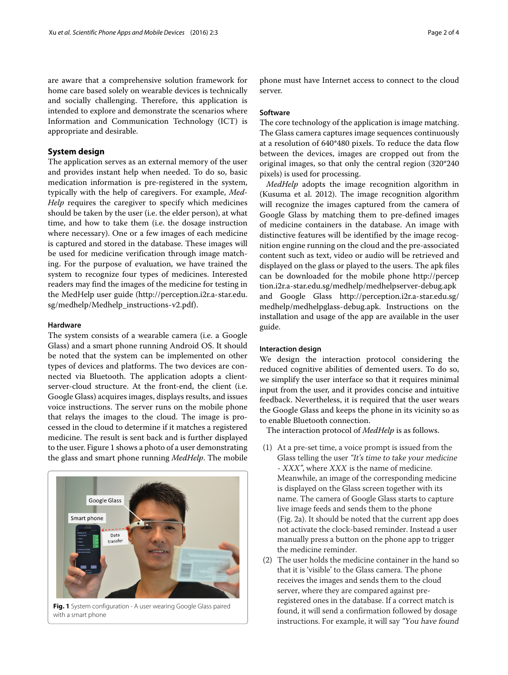are aware that a comprehensive solution framework for home care based solely on wearable devices is technically and socially challenging. Therefore, this application is intended to explore and demonstrate the scenarios where Information and Communication Technology (ICT) is appropriate and desirable.

#### **System design**

The application serves as an external memory of the user and provides instant help when needed. To do so, basic medication information is pre-registered in the system, typically with the help of caregivers. For example, *Med-Help* requires the caregiver to specify which medicines should be taken by the user (i.e. the elder person), at what time, and how to take them (i.e. the dosage instruction where necessary). One or a few images of each medicine is captured and stored in the database. These images will be used for medicine verification through image matching. For the purpose of evaluation, we have trained the system to recognize four types of medicines. Interested readers may find the images of the medicine for testing in the MedHelp user guide [\(http://perception.i2r.a-star.edu.](http://perception.i2r.a-star.edu.sg/medhelp/Medhelp_instructions-v2.pdf) [sg/medhelp/Medhelp\\_instructions-v2.pdf\)](http://perception.i2r.a-star.edu.sg/medhelp/Medhelp_instructions-v2.pdf).

#### **Hardware**

The system consists of a wearable camera (i.e. a Google Glass) and a smart phone running Android OS. It should be noted that the system can be implemented on other types of devices and platforms. The two devices are connected via Bluetooth. The application adopts a clientserver-cloud structure. At the front-end, the client (i.e. Google Glass) acquires images, displays results, and issues voice instructions. The server runs on the mobile phone that relays the images to the cloud. The image is processed in the cloud to determine if it matches a registered medicine. The result is sent back and is further displayed to the user. Figure [1](#page-1-0) shows a photo of a user demonstrating the glass and smart phone running *MedHelp*. The mobile



<span id="page-1-0"></span>**Fig. 1** System configuration - A user wearing Google Glass paired with a smart phone

phone must have Internet access to connect to the cloud server.

## **Software**

The core technology of the application is image matching. The Glass camera captures image sequences continuously at a resolution of 640\*480 pixels. To reduce the data flow between the devices, images are cropped out from the original images, so that only the central region (320\*240 pixels) is used for processing.

*MedHelp* adopts the image recognition algorithm in (Kusuma et al. [2012\)](#page-3-7). The image recognition algorithm will recognize the images captured from the camera of Google Glass by matching them to pre-defined images of medicine containers in the database. An image with distinctive features will be identified by the image recognition engine running on the cloud and the pre-associated content such as text, video or audio will be retrieved and displayed on the glass or played to the users. The apk files can be downloaded for the mobile phone [http://percep](http://perception.i2r.a-star.edu.sg/medhelp/medhelpserver-debug.apk) [tion.i2r.a-star.edu.sg/medhelp/medhelpserver-debug.apk](http://perception.i2r.a-star.edu.sg/medhelp/medhelpserver-debug.apk) and Google Glass [http://perception.i2r.a-star.edu.sg/](http://perception.i2r.a-star.edu.sg/medhelp/medhelpglass-debug.apk) [medhelp/medhelpglass-debug.apk.](http://perception.i2r.a-star.edu.sg/medhelp/medhelpglass-debug.apk) Instructions on the installation and usage of the app are available in the user guide.

#### **Interaction design**

We design the interaction protocol considering the reduced cognitive abilities of demented users. To do so, we simplify the user interface so that it requires minimal input from the user, and it provides concise and intuitive feedback. Nevertheless, it is required that the user wears the Google Glass and keeps the phone in its vicinity so as to enable Bluetooth connection.

The interaction protocol of *MedHelp* is as follows.

- (1) At a pre-set time, a voice prompt is issued from the Glass telling the user "It's time to take your medicine - XXX", where XXX is the name of medicine. Meanwhile, an image of the corresponding medicine is displayed on the Glass screen together with its name. The camera of Google Glass starts to capture live image feeds and sends them to the phone (Fig. [2](#page-2-0)[a\)](#page-2-1). It should be noted that the current app does not activate the clock-based reminder. Instead a user manually press a button on the phone app to trigger the medicine reminder.
- (2) The user holds the medicine container in the hand so that it is 'visible' to the Glass camera. The phone receives the images and sends them to the cloud server, where they are compared against preregistered ones in the database. If a correct match is found, it will send a confirmation followed by dosage instructions. For example, it will say "You have found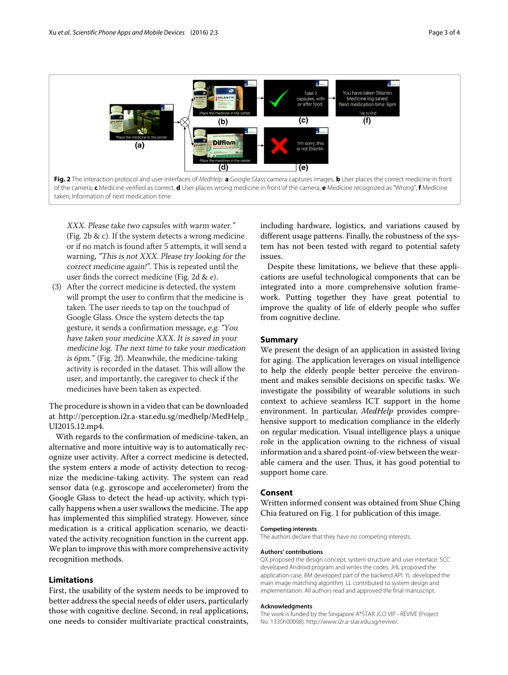

<span id="page-2-1"></span><span id="page-2-0"></span>XXX. Please take two capsules with warm water." (Fig. [2](#page-2-0)[b](#page-2-1) & [c\)](#page-2-1). If the system detects a wrong medicine or if no match is found after 5 attempts, it will send a warning, "This is not XXX. Please try looking for the correct medicine again!". This is repeated until the user finds the correct medicine (Fig. [2](#page-2-0)[d](#page-2-1) & [e\)](#page-2-1).

(3) After the correct medicine is detected, the system will prompt the user to confirm that the medicine is taken. The user needs to tap on the touchpad of Google Glass. Once the system detects the tap gesture, it sends a confirmation message, e.g. "You have taken your medicine XXX. It is saved in your medicine log. The next time to take your medication is 6pm." (Fig. [2](#page-2-0)[f\)](#page-2-1). Meanwhile, the medicine-taking activity is recorded in the dataset. This will allow the user, and importantly, the caregiver to check if the medicines have been taken as expected.

The procedure is shown in a video that can be downloaded at [http://perception.i2r.a-star.edu.sg/medhelp/MedHelp\\_](http://perception.i2r.a-star.edu.sg/medhelp/MedHelp_UI2015.12.mp4) [UI2015.12.mp4.](http://perception.i2r.a-star.edu.sg/medhelp/MedHelp_UI2015.12.mp4)

With regards to the confirmation of medicine-taken, an alternative and more intuitive way is to automatically recognize user activity. After a correct medicine is detected, the system enters a mode of activity detection to recognize the medicine-taking activity. The system can read sensor data (e.g. gyroscope and accelerometer) from the Google Glass to detect the head-up activity, which typically happens when a user swallows the medicine. The app has implemented this simplified strategy. However, since medication is a critical application scenario, we deactivated the activity recognition function in the current app. We plan to improve this with more comprehensive activity recognition methods.

## **Limitations**

First, the usability of the system needs to be improved to better address the special needs of elder users, particularly those with cognitive decline. Second, in real applications, one needs to consider multivariate practical constraints,

including hardware, logistics, and variations caused by different usage patterns. Finally, the robustness of the system has not been tested with regard to potential safety issues.

Despite these limitations, we believe that these applications are useful technological components that can be integrated into a more comprehensive solution framework. Putting together they have great potential to improve the quality of life of elderly people who suffer from cognitive decline.

## **Summary**

We present the design of an application in assisted living for aging. The application leverages on visual intelligence to help the elderly people better perceive the environment and makes sensible decisions on specific tasks. We investigate the possibility of wearable solutions in such context to achieve seamless ICT support in the home environment. In particular, *MedHelp* provides comprehensive support to medication compliance in the elderly on regular medication. Visual intelligence plays a unique role in the application owning to the richness of visual information and a shared point-of-view between the wearable camera and the user. Thus, it has good potential to support home care.

#### **Consent**

Written informed consent was obtained from Shue Ching Chia featured on Fig. [1](#page-1-0) for publication of this image.

#### **Competing interests**

The authors declare that they have no competing interests.

#### **Authors' contributions**

QX proposed the design concept, system structure and user interface. SCC developed Android program and writes the codes. JHL proposed the application case. BM developed part of the backend API. YL developed the main image matching algorithm. LL contributed to system design and implementation. All authors read and approved the final manuscript.

#### **Acknowledgments**

The work is funded by the Singapore A\*STAR JCO VIP - REVIVE (Project No. 1335h00098). [http://www.i2r.a-star.edu.sg/revive/.](http://www.i2r.a-star.edu.sg/revive/)